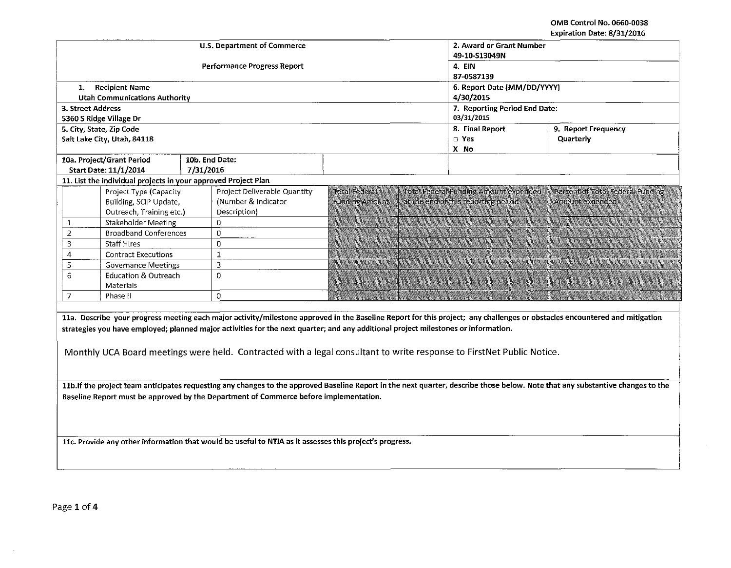OMB Control No. 0660-0038 Expiration Date: 8/31/2016

|                                                                                                         |                                                                |           |                                                                                                                                    |                       |                                       |                               | Expiration Date: 6/51/2010                                                                                                                                                      |  |  |  |
|---------------------------------------------------------------------------------------------------------|----------------------------------------------------------------|-----------|------------------------------------------------------------------------------------------------------------------------------------|-----------------------|---------------------------------------|-------------------------------|---------------------------------------------------------------------------------------------------------------------------------------------------------------------------------|--|--|--|
|                                                                                                         |                                                                |           | <b>U.S. Department of Commerce</b>                                                                                                 |                       | 2. Award or Grant Number              |                               |                                                                                                                                                                                 |  |  |  |
|                                                                                                         |                                                                |           |                                                                                                                                    |                       | 49-10-S13049N                         |                               |                                                                                                                                                                                 |  |  |  |
|                                                                                                         |                                                                |           | Performance Progress Report                                                                                                        | 4. EIN                |                                       |                               |                                                                                                                                                                                 |  |  |  |
|                                                                                                         |                                                                |           |                                                                                                                                    |                       |                                       | 87-0587139                    |                                                                                                                                                                                 |  |  |  |
| 1.                                                                                                      | <b>Recipient Name</b>                                          |           |                                                                                                                                    |                       | 6. Report Date (MM/DD/YYYY)           |                               |                                                                                                                                                                                 |  |  |  |
|                                                                                                         | Utah Communications Authority                                  |           |                                                                                                                                    |                       |                                       | 4/30/2015                     |                                                                                                                                                                                 |  |  |  |
| 3. Street Address                                                                                       |                                                                |           |                                                                                                                                    |                       |                                       | 7. Reporting Period End Date: |                                                                                                                                                                                 |  |  |  |
|                                                                                                         | 5360 S Ridge Village Dr                                        |           |                                                                                                                                    |                       | 03/31/2015                            |                               |                                                                                                                                                                                 |  |  |  |
|                                                                                                         | 5. City, State, Zip Code                                       |           |                                                                                                                                    |                       |                                       | 8. Final Report               | 9. Report Frequency                                                                                                                                                             |  |  |  |
|                                                                                                         | Salt Lake City, Utah, 84118                                    |           |                                                                                                                                    |                       | $\square$ Yes                         |                               | Quarterly                                                                                                                                                                       |  |  |  |
|                                                                                                         |                                                                |           |                                                                                                                                    |                       | X No                                  |                               |                                                                                                                                                                                 |  |  |  |
|                                                                                                         | 10a. Project/Grant Period                                      |           | 10b. End Date:                                                                                                                     |                       |                                       |                               |                                                                                                                                                                                 |  |  |  |
|                                                                                                         | Start Date: 11/1/2014                                          | 7/31/2016 |                                                                                                                                    |                       |                                       |                               |                                                                                                                                                                                 |  |  |  |
|                                                                                                         | 11. List the individual projects in your approved Project Plan |           |                                                                                                                                    |                       |                                       |                               |                                                                                                                                                                                 |  |  |  |
|                                                                                                         | Project Type (Capacity                                         |           | Project Deliverable Quantity                                                                                                       | <b>Total Federal</b>  | Total Federal Funding Amount expended |                               | Percent of Total Federal Funding                                                                                                                                                |  |  |  |
|                                                                                                         | Building, SCIP Update,                                         |           | (Number & Indicator                                                                                                                | <b>Funding Amount</b> | at the end of this reporting period   |                               | Amount expended                                                                                                                                                                 |  |  |  |
|                                                                                                         | Outreach, Training etc.)                                       |           | Description)                                                                                                                       |                       |                                       |                               |                                                                                                                                                                                 |  |  |  |
| $\mathbf{1}$                                                                                            | Stakeholder Meeting                                            |           | $\Omega$                                                                                                                           |                       |                                       |                               |                                                                                                                                                                                 |  |  |  |
| $\overline{2}$                                                                                          | <b>Broadband Conferences</b>                                   |           | $\Omega$                                                                                                                           |                       |                                       |                               |                                                                                                                                                                                 |  |  |  |
| 3                                                                                                       | <b>Staff Hires</b>                                             |           | $\mathbf{0}$                                                                                                                       |                       |                                       |                               |                                                                                                                                                                                 |  |  |  |
| 4                                                                                                       | <b>Contract Executions</b>                                     |           | $\mathbf{1}$                                                                                                                       |                       |                                       |                               |                                                                                                                                                                                 |  |  |  |
| 5                                                                                                       | <b>Governance Meetings</b>                                     |           | 3                                                                                                                                  |                       |                                       |                               |                                                                                                                                                                                 |  |  |  |
| 6                                                                                                       | Education & Outreach                                           |           | $\Omega$                                                                                                                           |                       |                                       |                               |                                                                                                                                                                                 |  |  |  |
|                                                                                                         | Materials                                                      |           |                                                                                                                                    |                       |                                       |                               |                                                                                                                                                                                 |  |  |  |
| $\overline{7}$                                                                                          | Phase II                                                       |           | $\circ$                                                                                                                            |                       |                                       |                               |                                                                                                                                                                                 |  |  |  |
|                                                                                                         |                                                                |           |                                                                                                                                    |                       |                                       |                               |                                                                                                                                                                                 |  |  |  |
|                                                                                                         |                                                                |           |                                                                                                                                    |                       |                                       |                               | 11a. Describe your progress meeting each major activity/milestone approved in the Baseline Report for this project; any challenges or obstacles encountered and mitigation      |  |  |  |
|                                                                                                         |                                                                |           | strategies you have employed; planned major activities for the next quarter; and any additional project milestones or information. |                       |                                       |                               |                                                                                                                                                                                 |  |  |  |
|                                                                                                         |                                                                |           |                                                                                                                                    |                       |                                       |                               |                                                                                                                                                                                 |  |  |  |
|                                                                                                         |                                                                |           |                                                                                                                                    |                       |                                       |                               |                                                                                                                                                                                 |  |  |  |
|                                                                                                         |                                                                |           | Monthly UCA Board meetings were held. Contracted with a legal consultant to write response to FirstNet Public Notice.              |                       |                                       |                               |                                                                                                                                                                                 |  |  |  |
|                                                                                                         |                                                                |           |                                                                                                                                    |                       |                                       |                               |                                                                                                                                                                                 |  |  |  |
|                                                                                                         |                                                                |           |                                                                                                                                    |                       |                                       |                               |                                                                                                                                                                                 |  |  |  |
|                                                                                                         |                                                                |           |                                                                                                                                    |                       |                                       |                               | 11b. If the project team anticipates requesting any changes to the approved Baseline Report in the next quarter, describe those below. Note that any substantive changes to the |  |  |  |
| Baseline Report must be approved by the Department of Commerce before implementation.                   |                                                                |           |                                                                                                                                    |                       |                                       |                               |                                                                                                                                                                                 |  |  |  |
|                                                                                                         |                                                                |           |                                                                                                                                    |                       |                                       |                               |                                                                                                                                                                                 |  |  |  |
|                                                                                                         |                                                                |           |                                                                                                                                    |                       |                                       |                               |                                                                                                                                                                                 |  |  |  |
|                                                                                                         |                                                                |           |                                                                                                                                    |                       |                                       |                               |                                                                                                                                                                                 |  |  |  |
| 11c. Provide any other information that would be useful to NTIA as it assesses this project's progress. |                                                                |           |                                                                                                                                    |                       |                                       |                               |                                                                                                                                                                                 |  |  |  |
|                                                                                                         |                                                                |           |                                                                                                                                    |                       |                                       |                               |                                                                                                                                                                                 |  |  |  |
|                                                                                                         |                                                                |           |                                                                                                                                    |                       |                                       |                               |                                                                                                                                                                                 |  |  |  |
|                                                                                                         |                                                                |           |                                                                                                                                    |                       |                                       |                               |                                                                                                                                                                                 |  |  |  |
|                                                                                                         |                                                                |           |                                                                                                                                    |                       |                                       |                               |                                                                                                                                                                                 |  |  |  |
|                                                                                                         |                                                                |           |                                                                                                                                    |                       |                                       |                               |                                                                                                                                                                                 |  |  |  |

 $\sim$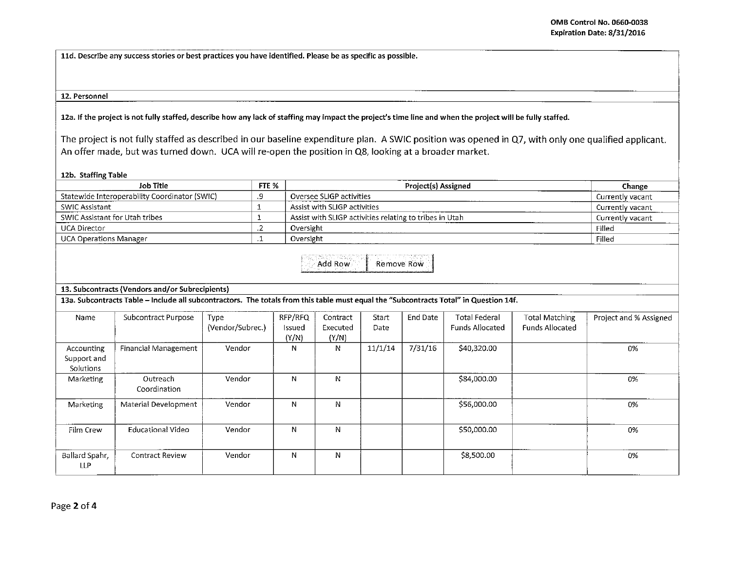**lld. Describe any success stories or best practices you have identified. Please be as specific as possible.** 

## **12. Personnel**

**lZa. If the project is not fully staffed, describe how any lack of staffing may impact the project's time line and when the project will be fully staffed.** 

The project is not fully staffed as described in our baseline expenditure plan. A SWIC position was opened in Q7, with only one qualified applicant. An offer made, but was turned down. UCA will re-open the position in Q8, looking at a broader market.

## **12b. Staffing Table**

| <b>Job Title</b>                                                                                                                      |                          |                          | FTE %                      |                                                         | Change           |          |                                                |                                                 |                        |
|---------------------------------------------------------------------------------------------------------------------------------------|--------------------------|--------------------------|----------------------------|---------------------------------------------------------|------------------|----------|------------------------------------------------|-------------------------------------------------|------------------------|
| Statewide Interoperability Coordinator (SWIC)                                                                                         |                          |                          |                            | Oversee SLIGP activities                                | Currently vacant |          |                                                |                                                 |                        |
| <b>SWIC Assistant</b>                                                                                                                 |                          |                          |                            | Assist with SLIGP activities                            | Currently vacant |          |                                                |                                                 |                        |
| SWIC Assistant for Utah tribes                                                                                                        |                          |                          |                            | Assist with SLIGP activities relating to tribes in Utah | Currently vacant |          |                                                |                                                 |                        |
| <b>UCA Director</b>                                                                                                                   |                          | $\cdot$                  | Oversight                  |                                                         | Filled           |          |                                                |                                                 |                        |
| <b>UCA Operations Manager</b>                                                                                                         |                          | $\cdot$                  | Oversight                  |                                                         | Filled           |          |                                                |                                                 |                        |
| Add Row.<br>Remove Row<br>13. Subcontracts (Vendors and/or Subrecipients)                                                             |                          |                          |                            |                                                         |                  |          |                                                |                                                 |                        |
| 13a. Subcontracts Table - Include all subcontractors. The totals from this table must equal the "Subcontracts Total" in Question 14f. |                          |                          |                            |                                                         |                  |          |                                                |                                                 |                        |
| Name                                                                                                                                  | Subcontract Purpose      | Type<br>(Vendor/Subrec.) | RFP/RFQ<br>Issued<br>(Y/N) | Contract<br>Executed<br>(Y/N)                           | Start<br>Date    | End Date | <b>Total Federal</b><br><b>Funds Allocated</b> | <b>Total Matching</b><br><b>Funds Allocated</b> | Project and % Assigned |
| Accounting<br>Support and<br>Solutions                                                                                                | Financial Management     | Vendor                   | N                          | N                                                       | 11/1/14          | 7/31/16  | \$40,320.00                                    |                                                 | 0%                     |
| Marketing                                                                                                                             | Outreach<br>Coordination | Vendor                   | N                          | N                                                       |                  |          | \$84,000.00                                    |                                                 | 0%                     |
| Marketing                                                                                                                             | Material Development     | Vendor                   | N                          | N                                                       |                  |          | \$56,000.00                                    |                                                 | 0%                     |
| Film Crew                                                                                                                             | <b>Educational Video</b> | Vendor                   | N                          | N                                                       |                  |          | \$50,000.00                                    |                                                 | 0%                     |
| Ballard Spahr,<br><b>LLP</b>                                                                                                          | <b>Contract Review</b>   | Vendor                   | N                          | N                                                       |                  |          | \$8,500.00                                     |                                                 | 0%                     |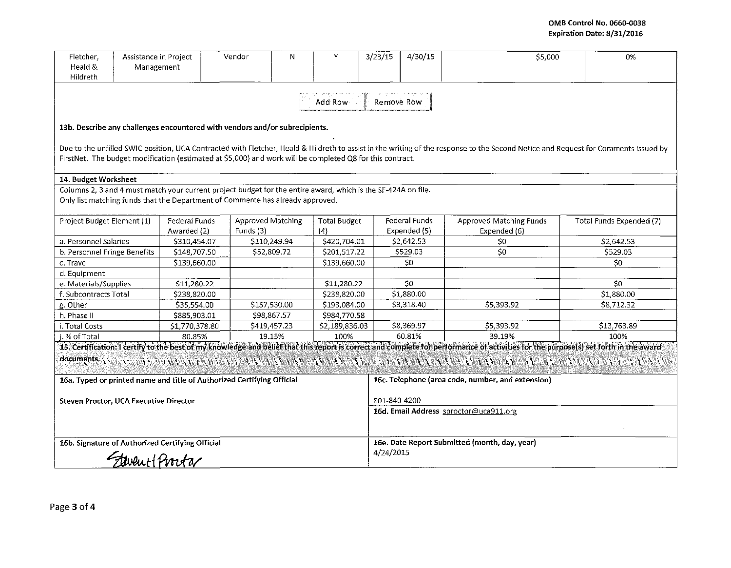| Fletcher.<br>Heald &<br>Hildreth                                                                                                                                                                                                                                                                | Assistance in Project<br>Management |                                                                                                               | Vendor            | N            | Y                   | 3/23/15                                           | 4/30/15                                       |                                | \$5,000 | 0%                       |  |  |
|-------------------------------------------------------------------------------------------------------------------------------------------------------------------------------------------------------------------------------------------------------------------------------------------------|-------------------------------------|---------------------------------------------------------------------------------------------------------------|-------------------|--------------|---------------------|---------------------------------------------------|-----------------------------------------------|--------------------------------|---------|--------------------------|--|--|
| Add Row<br>Remove Row                                                                                                                                                                                                                                                                           |                                     |                                                                                                               |                   |              |                     |                                                   |                                               |                                |         |                          |  |  |
| 13b. Describe any challenges encountered with vendors and/or subrecipients.                                                                                                                                                                                                                     |                                     |                                                                                                               |                   |              |                     |                                                   |                                               |                                |         |                          |  |  |
| Due to the unfilled SWIC position, UCA Contracted with Fletcher, Heald & Hildreth to assist in the writing of the response to the Second Notice and Request for Comments issued by<br>FirstNet. The budget modification (estimated at \$5,000) and work will be completed Q8 for this contract. |                                     |                                                                                                               |                   |              |                     |                                                   |                                               |                                |         |                          |  |  |
| 14. Budget Worksheet                                                                                                                                                                                                                                                                            |                                     |                                                                                                               |                   |              |                     |                                                   |                                               |                                |         |                          |  |  |
|                                                                                                                                                                                                                                                                                                 |                                     | Columns 2, 3 and 4 must match your current project budget for the entire award, which is the SF-424A on file. |                   |              |                     |                                                   |                                               |                                |         |                          |  |  |
| Only list matching funds that the Department of Commerce has already approved.                                                                                                                                                                                                                  |                                     |                                                                                                               |                   |              |                     |                                                   |                                               |                                |         |                          |  |  |
| Project Budget Element (1)                                                                                                                                                                                                                                                                      |                                     | Federal Funds                                                                                                 | Approved Matching |              | <b>Total Budget</b> |                                                   | Federal Funds                                 | <b>Approved Matching Funds</b> |         | Total Funds Expended (7) |  |  |
|                                                                                                                                                                                                                                                                                                 |                                     | Awarded (2)                                                                                                   | Funds (3)         |              | (4)                 |                                                   | Expended (5)                                  | Expended (6)                   |         |                          |  |  |
| a. Personnel Salaries                                                                                                                                                                                                                                                                           |                                     | \$310,454.07                                                                                                  | \$110,249.94      |              | \$420,704.01        |                                                   | \$2,642.53                                    | \$0                            |         | \$2,642.53               |  |  |
| b. Personnel Fringe Benefits                                                                                                                                                                                                                                                                    |                                     | \$148,707.50                                                                                                  | \$52,809.72       |              | \$201,517.22        |                                                   | \$529.03                                      | \$0                            |         | \$529.03                 |  |  |
| c. Travel                                                                                                                                                                                                                                                                                       |                                     | \$139,660.00                                                                                                  |                   |              | \$139,660.00        |                                                   | \$0                                           |                                |         | \$0                      |  |  |
| d. Equipment                                                                                                                                                                                                                                                                                    |                                     |                                                                                                               |                   |              |                     |                                                   |                                               |                                |         |                          |  |  |
| e. Materials/Supplies                                                                                                                                                                                                                                                                           |                                     | \$11,280.22                                                                                                   |                   |              | \$11,280.22         |                                                   | \$0                                           |                                |         | 50 <sub>2</sub>          |  |  |
| f. Subcontracts Total                                                                                                                                                                                                                                                                           |                                     | \$238,820.00                                                                                                  |                   |              | \$238,820.00        |                                                   | \$1,880.00                                    |                                |         | \$1,880.00               |  |  |
| g. Other                                                                                                                                                                                                                                                                                        |                                     | \$35,554.00                                                                                                   |                   | \$157,530.00 | \$193,084.00        |                                                   | \$3,318.40                                    | \$5,393.92                     |         | \$8,712.32               |  |  |
| h. Phase II                                                                                                                                                                                                                                                                                     |                                     | \$885,903.01                                                                                                  | \$98,867.57       |              | \$984,770.58        |                                                   |                                               |                                |         |                          |  |  |
| i. Total Costs                                                                                                                                                                                                                                                                                  |                                     | \$1,770,378.80                                                                                                | \$419,457.23      |              | \$2,189,836.03      |                                                   | \$8.369.97                                    | \$5,393.92                     |         | \$13,763.89              |  |  |
| i. % of Total                                                                                                                                                                                                                                                                                   |                                     | 80.85%                                                                                                        | 19.15%            |              | 100%                |                                                   | 60.81%                                        | 39.19%                         |         | 100%                     |  |  |
| 15. Certification: I certify to the best of my knowledge and belief that this report is correct and complete for performance of activities for the purpose(s) set forth in the award                                                                                                            |                                     |                                                                                                               |                   |              |                     |                                                   |                                               |                                |         |                          |  |  |
| documents.                                                                                                                                                                                                                                                                                      |                                     |                                                                                                               |                   |              |                     |                                                   |                                               |                                |         |                          |  |  |
|                                                                                                                                                                                                                                                                                                 |                                     |                                                                                                               |                   |              |                     |                                                   |                                               |                                |         |                          |  |  |
| 16a. Typed or printed name and title of Authorized Certifying Official                                                                                                                                                                                                                          |                                     |                                                                                                               |                   |              |                     | 16c. Telephone (area code, number, and extension) |                                               |                                |         |                          |  |  |
| 801-840-4200<br>Steven Proctor, UCA Executive Director                                                                                                                                                                                                                                          |                                     |                                                                                                               |                   |              |                     |                                                   |                                               |                                |         |                          |  |  |
|                                                                                                                                                                                                                                                                                                 |                                     |                                                                                                               |                   |              |                     |                                                   | 16d. Email Address sproctor@uca911.org        |                                |         |                          |  |  |
|                                                                                                                                                                                                                                                                                                 |                                     |                                                                                                               |                   |              |                     |                                                   |                                               |                                |         |                          |  |  |
|                                                                                                                                                                                                                                                                                                 |                                     |                                                                                                               |                   |              |                     |                                                   |                                               |                                |         |                          |  |  |
| 16b. Signature of Authorized Certifying Official                                                                                                                                                                                                                                                |                                     |                                                                                                               |                   |              |                     |                                                   | 16e. Date Report Submitted (month, day, year) |                                |         |                          |  |  |
|                                                                                                                                                                                                                                                                                                 |                                     |                                                                                                               |                   |              |                     |                                                   | 4/24/2015                                     |                                |         |                          |  |  |
| Flevent Procta                                                                                                                                                                                                                                                                                  |                                     |                                                                                                               |                   |              |                     |                                                   |                                               |                                |         |                          |  |  |